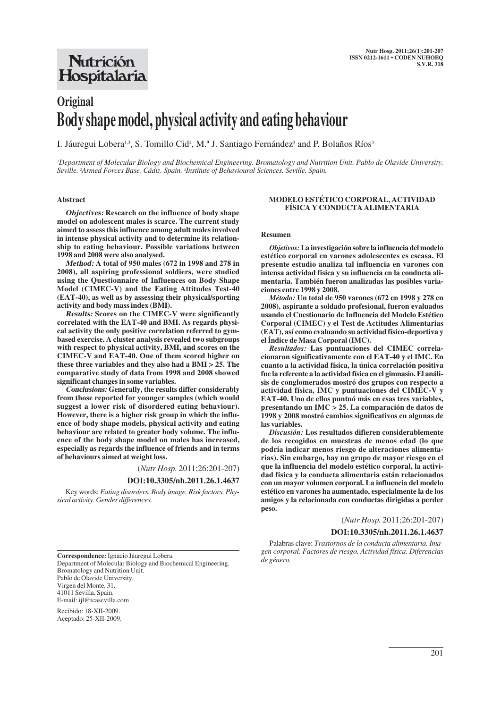## **Nutrición** Hospitalaria

# **Original Body shape model, physical activity and eating behaviour**

I. Jáuregui Lobera<sup>1,3</sup>, S. Tomillo Cid<sup>2</sup>, M.ª J. Santiago Fernández<sup>3</sup> and P. Bolaños Ríos<sup>3</sup>

*1 Department of Molecular Biology and Biochemical Engineering. Bromatology and Nutrition Unit. Pablo de Olavide University. Seville. 2 Armed Forces Base. Cádiz. Spain. 3 Institute of Behavioural Sciences. Seville. Spain.*

#### **Abstract**

**Objectives: Research on the influence of body shape model on adolescent males is scarce. The current study aimed to assess this influence among adult males involved in intense physical activity and to determine its relationship to eating behaviour. Possible variations between 1998 and 2008 were also analysed.** 

**Method: A total of 950 males (672 in 1998 and 278 in 2008), all aspiring professional soldiers, were studied using the Questionnaire of Influences on Body Shape Model (CIMEC-V) and the Eating Attitudes Test-40 (EAT-40), as well as by assessing their physical/sporting activity and body mass index (BMI).** 

**Results: Scores on the CIMEC-V were significantly correlated with the EAT-40 and BMI. As regards physical activity the only positive correlation referred to gymbased exercise. A cluster analysis revealed two subgroups with respect to physical activity, BMI, and scores on the CIMEC-V and EAT-40. One of them scored higher on these three variables and they also had a BMI > 25. The comparative study of data from 1998 and 2008 showed significant changes in some variables.**

**Conclusions: Generally, the results differ considerably from those reported for younger samples (which would suggest a lower risk of disordered eating behaviour). However, there is a higher risk group in which the influence of body shape models, physical activity and eating behaviour are related to greater body volume. The influence of the body shape model on males has increased, especially as regards the influence of friends and in terms of behaviours aimed at weight loss.**

(*Nutr Hosp.* 2011;26:201-207)

## **DOI:10.3305/nh.2011.26.1.4637**

Key words: *Eating disorders. Body image. Risk factors. Physical activity. Gender differences.*

## **MODELO ESTÉTICO CORPORAL, ACTIVIDAD FÍSICA Y CONDUCTA ALIMENTARIA**

## **Resumen**

*Objetivos:***La investigación sobre la influencia del modelo estético corporal en varones adolescentes es escasa. El presente estudio analiza tal influencia en varones con intensa actividad física y su influencia en la conducta alimentaria. También fueron analizadas las posibles variaciones entre 1998 y 2008.**

*Método:* **Un total de 950 varones (672 en 1998 y 278 en 2008), aspirante a soldado profesional, fueron evaluados usando el Cuestionario de Influencia del Modelo Estético Corporal (CIMEC) y el Test de Actitudes Alimentarias (EAT), así como evaluando su actividad físico-deportiva y el Índice de Masa Corporal (IMC).**

*Resultados:* **Las puntuaciones del CIMEC correlacionaron significativamente con el EAT-40 y el IMC. En cuanto a la actividad física, la única correlación positiva fue la referente a la actividad física en el gimnasio. El análisis de conglomerados mostró dos grupos con respecto a actividad física, IMC y puntuaciones del CIMEC-V y EAT-40. Uno de ellos puntuó más en esas tres variables, presentando un IMC > 25. La comparación de datos de 1998 y 2008 mostró cambios significativos en algunas de las variables.**

*Discusión:* **Los resultados difieren considerablemente de los recogidos en muestras de menos edad (lo que podría indicar menos riesgo de alteraciones alimentarias). Sin embargo, hay un grupo de mayor riesgo en el que la influencia del modelo estético corporal, la actividad física y la conducta alimentaria están relacionados con un mayor volumen corporal. La influencia del modelo estético en varones ha aumentado, especialmente la de los amigos y la relacionada con conductas dirigidas a perder peso.**

(*Nutr Hosp.* 2011;26:201-207)

#### **DOI:10.3305/nh.2011.26.1.4637**

Palabras clave: *Trastornos de la conducta alimentaria. Imagen corporal. Factores de riesgo. Actividad física. Diferencias de género.*

**Correspondence:** Ignacio Jáuregui Lobera. Department of Molecular Biology and Biochemical Engineering. Bromatology and Nutrition Unit. Pablo de Olavide University. Virgen del Monte, 31. 41011 Sevilla. Spain. E-mail: ijl@tcasevilla.com

Recibido: 18-XII-2009. Aceptado: 25-XII-2009.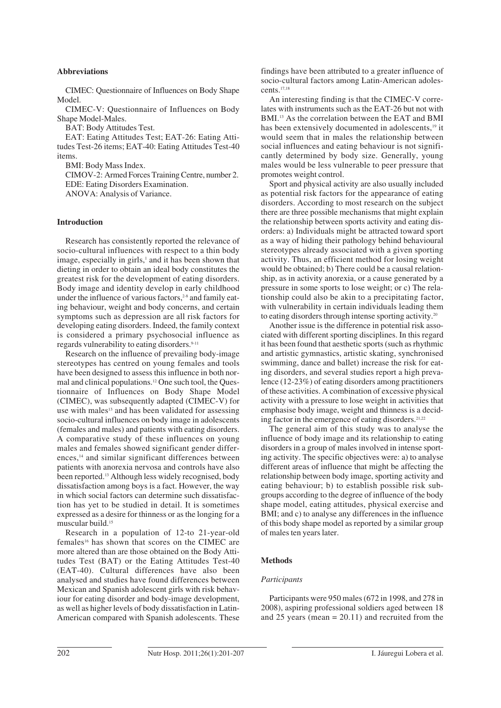## **Abbreviations**

CIMEC: Questionnaire of Influences on Body Shape Model.

CIMEC-V: Questionnaire of Influences on Body Shape Model-Males.

BAT: Body Attitudes Test.

EAT: Eating Attitudes Test; EAT-26: Eating Attitudes Test-26 items; EAT-40: Eating Attitudes Test-40 items.

BMI: Body Mass Index.

CIMOV-2: Armed Forces Training Centre, number 2.

EDE: Eating Disorders Examination.

ANOVA: Analysis of Variance.

## **Introduction**

Research has consistently reported the relevance of socio-cultural influences with respect to a thin body image, especially in girls, $\frac{1}{2}$  and it has been shown that dieting in order to obtain an ideal body constitutes the greatest risk for the development of eating disorders. Body image and identity develop in early childhood under the influence of various factors,<sup>2-8</sup> and family eating behaviour, weight and body concerns, and certain symptoms such as depression are all risk factors for developing eating disorders. Indeed, the family context is considered a primary psychosocial influence as regards vulnerability to eating disorders.<sup>9-11</sup>

Research on the influence of prevailing body-image stereotypes has centred on young females and tools have been designed to assess this influence in both normal and clinical populations.12 One such tool, the Questionnaire of Influences on Body Shape Model (CIMEC), was subsequently adapted (CIMEC-V) for use with males<sup>13</sup> and has been validated for assessing socio-cultural influences on body image in adolescents (females and males) and patients with eating disorders. A comparative study of these influences on young males and females showed significant gender differences,<sup>14</sup> and similar significant differences between patients with anorexia nervosa and controls have also been reported.13 Although less widely recognised, body dissatisfaction among boys is a fact. However, the way in which social factors can determine such dissatisfaction has yet to be studied in detail. It is sometimes expressed as a desire for thinness or as the longing for a muscular build.15

Research in a population of 12-to 21-year-old females16 has shown that scores on the CIMEC are more altered than are those obtained on the Body Attitudes Test (BAT) or the Eating Attitudes Test-40 (EAT-40). Cultural differences have also been analysed and studies have found differences between Mexican and Spanish adolescent girls with risk behaviour for eating disorder and body-image development, as well as higher levels of body dissatisfaction in Latin-American compared with Spanish adolescents. These findings have been attributed to a greater influence of socio-cultural factors among Latin-American adolescents.17,18

An interesting finding is that the CIMEC-V correlates with instruments such as the EAT-26 but not with BMI.<sup>13</sup> As the correlation between the EAT and BMI has been extensively documented in adolescents.<sup>19</sup> it would seem that in males the relationship between social influences and eating behaviour is not significantly determined by body size. Generally, young males would be less vulnerable to peer pressure that promotes weight control.

Sport and physical activity are also usually included as potential risk factors for the appearance of eating disorders. According to most research on the subject there are three possible mechanisms that might explain the relationship between sports activity and eating disorders: a) Individuals might be attracted toward sport as a way of hiding their pathology behind behavioural stereotypes already associated with a given sporting activity. Thus, an efficient method for losing weight would be obtained; b) There could be a causal relationship, as in activity anorexia, or a cause generated by a pressure in some sports to lose weight; or c) The relationship could also be akin to a precipitating factor, with vulnerability in certain individuals leading them to eating disorders through intense sporting activity.20

Another issue is the difference in potential risk associated with different sporting disciplines. In this regard it has been found that aesthetic sports (such as rhythmic and artistic gymnastics, artistic skating, synchronised swimming, dance and ballet) increase the risk for eating disorders, and several studies report a high prevalence (12-23%) of eating disorders among practitioners of these activities. A combination of excessive physical activity with a pressure to lose weight in activities that emphasise body image, weight and thinness is a deciding factor in the emergence of eating disorders.<sup>21,22</sup>

The general aim of this study was to analyse the influence of body image and its relationship to eating disorders in a group of males involved in intense sporting activity. The specific objectives were: a) to analyse different areas of influence that might be affecting the relationship between body image, sporting activity and eating behaviour; b) to establish possible risk subgroups according to the degree of influence of the body shape model, eating attitudes, physical exercise and BMI; and c) to analyse any differences in the influence of this body shape model as reported by a similar group of males ten years later.

## **Methods**

#### *Participants*

Participants were 950 males (672 in 1998, and 278 in 2008), aspiring professional soldiers aged between 18 and 25 years (mean  $= 20.11$ ) and recruited from the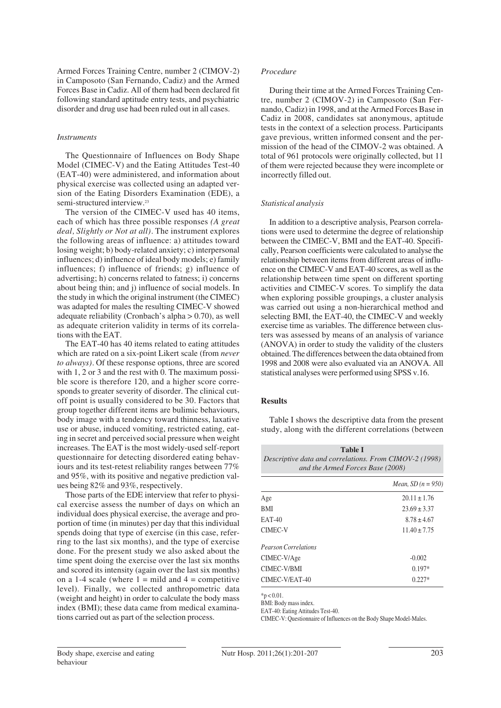Armed Forces Training Centre, number 2 (CIMOV-2) in Camposoto (San Fernando, Cadiz) and the Armed Forces Base in Cadiz. All of them had been declared fit following standard aptitude entry tests, and psychiatric disorder and drug use had been ruled out in all cases.

## *Instruments*

The Questionnaire of Influences on Body Shape Model (CIMEC-V) and the Eating Attitudes Test-40 (EAT-40) were administered, and information about physical exercise was collected using an adapted version of the Eating Disorders Examination (EDE), a semi-structured interview.<sup>23</sup>

The version of the CIMEC-V used has 40 items, each of which has three possible responses *(A great deal, Slightly or Not at all).* The instrument explores the following areas of influence: a) attitudes toward losing weight; b) body-related anxiety; c) interpersonal influences; d) influence of ideal body models; e) family influences; f) influence of friends; g) influence of advertising; h) concerns related to fatness; i) concerns about being thin; and j) influence of social models. In the study in which the original instrument (the CIMEC) was adapted for males the resulting CIMEC-V showed adequate reliability (Cronbach's alpha > 0.70), as well as adequate criterion validity in terms of its correlations with the EAT.

The EAT-40 has 40 items related to eating attitudes which are rated on a six-point Likert scale (from *never to always).* Of these response options, three are scored with 1, 2 or 3 and the rest with 0. The maximum possible score is therefore 120, and a higher score corresponds to greater severity of disorder. The clinical cutoff point is usually considered to be 30. Factors that group together different items are bulimic behaviours, body image with a tendency toward thinness, laxative use or abuse, induced vomiting, restricted eating, eating in secret and perceived social pressure when weight increases. The EAT is the most widely-used self-report questionnaire for detecting disordered eating behaviours and its test-retest reliability ranges between 77% and 95%, with its positive and negative prediction values being 82% and 93%, respectively.

Those parts of the EDE interview that refer to physical exercise assess the number of days on which an individual does physical exercise, the average and proportion of time (in minutes) per day that this individual spends doing that type of exercise (in this case, referring to the last six months), and the type of exercise done. For the present study we also asked about the time spent doing the exercise over the last six months and scored its intensity (again over the last six months) on a 1-4 scale (where  $1 = \text{mild}$  and  $4 = \text{competitive}$ ) level). Finally, we collected anthropometric data (weight and height) in order to calculate the body mass index (BMI); these data came from medical examinations carried out as part of the selection process.

#### *Procedure*

During their time at the Armed Forces Training Centre, number 2 (CIMOV-2) in Camposoto (San Fernando, Cadiz) in 1998, and at the Armed Forces Base in Cadiz in 2008, candidates sat anonymous, aptitude tests in the context of a selection process. Participants gave previous, written informed consent and the permission of the head of the CIMOV-2 was obtained. A total of 961 protocols were originally collected, but 11 of them were rejected because they were incomplete or incorrectly filled out.

#### *Statistical analysis*

In addition to a descriptive analysis, Pearson correlations were used to determine the degree of relationship between the CIMEC-V, BMI and the EAT-40. Specifically, Pearson coefficients were calculated to analyse the relationship between items from different areas of influence on the CIMEC-V and EAT-40 scores, as well as the relationship between time spent on different sporting activities and CIMEC-V scores. To simplify the data when exploring possible groupings, a cluster analysis was carried out using a non-hierarchical method and selecting BMI, the EAT-40, the CIMEC-V and weekly exercise time as variables. The difference between clusters was assessed by means of an analysis of variance (ANOVA) in order to study the validity of the clusters obtained. The differences between the data obtained from 1998 and 2008 were also evaluated via an ANOVA. All statistical analyses were performed using SPSS v.16.

## **Results**

Table I shows the descriptive data from the present study, along with the different correlations (between

**Table I**

|                             | <i>Mean, SD</i> $(n = 950)$ |
|-----------------------------|-----------------------------|
| Age                         | $20.11 \pm 1.76$            |
| <b>BMI</b>                  | $23.69 \pm 3.37$            |
| <b>EAT-40</b>               | $8.78 + 4.67$               |
| CIMEC-V                     | $11.40 \pm 7.75$            |
| <b>Pearson Correlations</b> |                             |
| CIMEC-V/Age                 | $-0.002$                    |
| CIMEC-V/BMI                 | $0.197*$                    |
| CIMEC-V/EAT-40              | $0.227*$                    |

 $*p < 0.01$ .

BMI: Body mass index.

EAT-40: Eating Attitudes Test-40.

CIMEC-V: Questionnaire of Influences on the Body Shape Model-Males.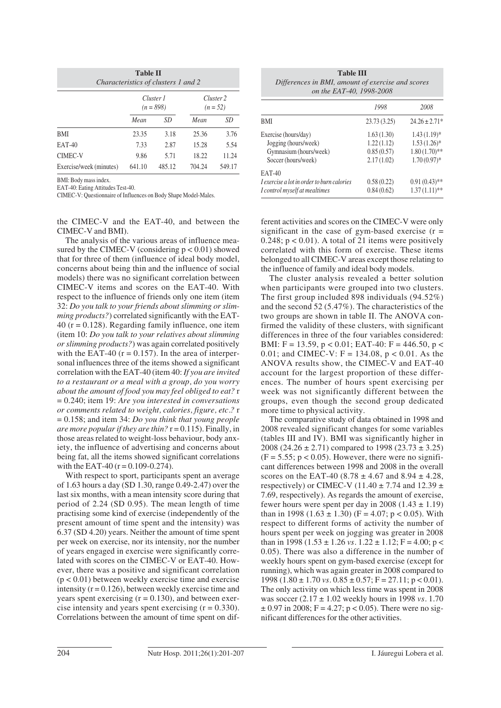| <b>Table II</b><br>Characteristics of clusters 1 and 2 |                          |        |                                    |        |  |  |  |  |
|--------------------------------------------------------|--------------------------|--------|------------------------------------|--------|--|--|--|--|
|                                                        | Cluster 1<br>$(n = 898)$ |        | Cluster <sub>2</sub><br>$(n = 52)$ |        |  |  |  |  |
|                                                        | Mean                     | SD     | Mean                               | SD     |  |  |  |  |
| <b>BMI</b>                                             | 23.35                    | 3.18   | 25.36                              | 3.76   |  |  |  |  |
| <b>EAT-40</b>                                          | 7.33                     | 2.87   | 15.28                              | 5.54   |  |  |  |  |
| <b>CIMEC-V</b>                                         | 9.86                     | 5.71   | 18.22                              | 11.24  |  |  |  |  |
| Exercise/week (minutes)                                | 641.10                   | 485.12 | 704.24                             | 549.17 |  |  |  |  |

BMI: Body mass index.

EAT-40: Eating Attitudes Test-40.

CIMEC-V: Questionnaire of Influences on Body Shape Model-Males.

the CIMEC-V and the EAT-40, and between the CIMEC-V and BMI).

The analysis of the various areas of influence measured by the CIMEC-V (considering  $p < 0.01$ ) showed that for three of them (influence of ideal body model, concerns about being thin and the influence of social models) there was no significant correlation between CIMEC-V items and scores on the EAT-40. With respect to the influence of friends only one item (item 32: *Do you talk to your friends about slimming or slimming products?*) correlated significantly with the EAT- $40$  ( $r = 0.128$ ). Regarding family influence, one item (item 10: *Do you talk to your relatives about slimming or slimming products?*) was again correlated positively with the EAT-40 ( $r = 0.157$ ). In the area of interpersonal influences three of the items showed a significant correlation with the EAT-40 (item 40: *If you are invited to a restaurant or a meal with a group, do you worry about the amount of food you may feel obliged to eat?* r = 0.240; item 19: *Are you interested in conversations or comments related to weight, calories, figure, etc.?* r = 0.158; and item 34: *Do you think that young people are more popular if they are thin?* r = 0.115). Finally, in those areas related to weight-loss behaviour, body anxiety, the influence of advertising and concerns about being fat, all the items showed significant correlations with the EAT-40  $(r = 0.109 - 0.274)$ .

With respect to sport, participants spent an average of 1.63 hours a day (SD 1.30, range 0.49-2.47) over the last six months, with a mean intensity score during that period of 2.24 (SD 0.95). The mean length of time practising some kind of exercise (independently of the present amount of time spent and the intensity) was 6.37 (SD 4.20) years. Neither the amount of time spent per week on exercise, nor its intensity, nor the number of years engaged in exercise were significantly correlated with scores on the CIMEC-V or EAT-40. However, there was a positive and significant correlation  $(p < 0.01)$  between weekly exercise time and exercise intensity  $(r = 0.126)$ , between weekly exercise time and years spent exercising  $(r = 0.130)$ , and between exercise intensity and years spent exercising  $(r = 0.330)$ . Correlations between the amount of time spent on dif-

| <b>Table III</b><br>Differences in BMI, amount of exercise and scores<br>on the EAT-40, 1998-2008 |                                                      |                                                                         |  |  |  |
|---------------------------------------------------------------------------------------------------|------------------------------------------------------|-------------------------------------------------------------------------|--|--|--|
|                                                                                                   | 1998                                                 | 2008                                                                    |  |  |  |
| BMI                                                                                               | 23.73(3.25)                                          | $24.26 \pm 2.71*$                                                       |  |  |  |
| Exercise (hours/day)<br>Jogging (hours/week)<br>Gymnasium (hours/week)<br>Soccer (hours/week)     | 1.63(1.30)<br>1.22(1.12)<br>0.85(0.57)<br>2.17(1.02) | $1.43(1.19)$ *<br>$1.53(1.26)^{*}$<br>$1.80(1.70)$ **<br>$1.70(0.97)$ * |  |  |  |
| <b>EAT-40</b><br>I exercise a lot in order to burn calories                                       | 0.58(0.22)                                           | $0.91(0.43)$ **                                                         |  |  |  |

ferent activities and scores on the CIMEC-V were only significant in the case of gym-based exercise  $(r =$ 0.248;  $p < 0.01$ ). A total of 21 items were positively correlated with this form of exercise. These items belonged to all CIMEC-V areas except those relating to the influence of family and ideal body models.

*I* control myself at mealtimes 0.84 (0.62) 1.37 (1.11)\*\*

The cluster analysis revealed a better solution when participants were grouped into two clusters. The first group included 898 individuals (94.52%) and the second 52 (5.47%). The characteristics of the two groups are shown in table II. The ANOVA confirmed the validity of these clusters, with significant differences in three of the four variables considered: BMI: F = 13.59, p < 0.01; EAT-40: F = 446.50, p < 0.01; and CIMEC-V:  $F = 134.08$ ,  $p < 0.01$ . As the ANOVA results show, the CIMEC-V and EAT-40 account for the largest proportion of these differences. The number of hours spent exercising per week was not significantly different between the groups, even though the second group dedicated more time to physical activity.

The comparative study of data obtained in 1998 and 2008 revealed significant changes for some variables (tables III and IV). BMI was significantly higher in 2008 (24.26  $\pm$  2.71) compared to 1998 (23.73  $\pm$  3.25)  $(F = 5.55; p < 0.05)$ . However, there were no significant differences between 1998 and 2008 in the overall scores on the EAT-40 (8.78  $\pm$  4.67 and 8.94  $\pm$  4.28, respectively) or CIMEC-V (11.40  $\pm$  7.74 and 12.39  $\pm$ 7.69, respectively). As regards the amount of exercise, fewer hours were spent per day in 2008 (1.43  $\pm$  1.19) than in 1998  $(1.63 \pm 1.30)$  (F = 4.07; p < 0.05). With respect to different forms of activity the number of hours spent per week on jogging was greater in 2008 than in 1998 (1.53  $\pm$  1.26 *vs.* 1.22  $\pm$  1.12; F = 4.00; p < 0.05). There was also a difference in the number of weekly hours spent on gym-based exercise (except for running), which was again greater in 2008 compared to 1998  $(1.80 \pm 1.70 \text{ vs. } 0.85 \pm 0.57; F = 27.11; p < 0.01)$ . The only activity on which less time was spent in 2008 was soccer (2.17 ± 1.02 weekly hours in 1998 *vs.* 1.70  $\pm$  0.97 in 2008; F = 4.27; p < 0.05). There were no significant differences for the other activities.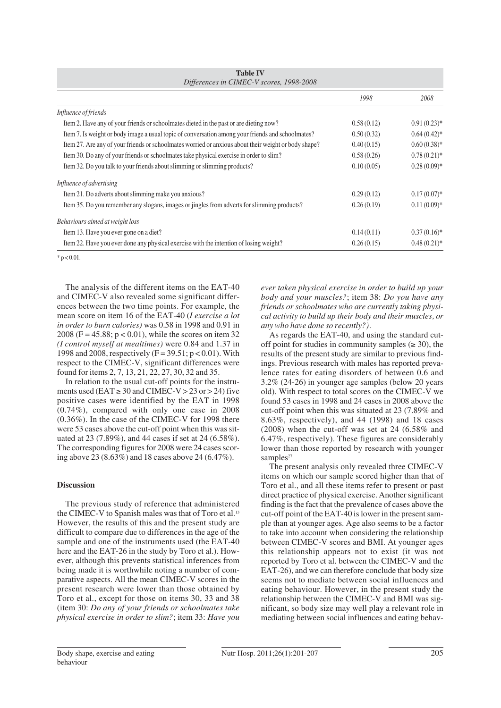|                                                                                                      | 1998       | 2008           |
|------------------------------------------------------------------------------------------------------|------------|----------------|
| Influence of friends                                                                                 |            |                |
| Item 2. Have any of your friends or schoolmates dieted in the past or are dieting now?               | 0.58(0.12) | $0.91(0.23)*$  |
| Item 7. Is weight or body image a usual topic of conversation among your friends and schoolmates?    | 0.50(0.32) | $0.64(0.42)$ * |
| Item 27. Are any of your friends or schoolmates worried or anxious about their weight or body shape? | 0.40(0.15) | $0.60(0.38)$ * |
| Item 30. Do any of your friends or schoolmates take physical exercise in order to slim?              | 0.58(0.26) | $0.78(0.21)$ * |
| Item 32. Do you talk to your friends about slimming or slimming products?                            | 0.10(0.05) | $0.28(0.09)*$  |
| Influence of advertising                                                                             |            |                |
| Item 21. Do adverts about slimming make you anxious?                                                 | 0.29(0.12) | $0.17(0.07)^*$ |
| Item 35. Do you remember any slogans, images or jingles from adverts for slimming products?          | 0.26(0.19) | $0.11(0.09)*$  |
| Behaviours aimed at weight loss                                                                      |            |                |
| Item 13. Have you ever gone on a diet?                                                               | 0.14(0.11) | $0.37(0.16)$ * |
| Item 22. Have you ever done any physical exercise with the intention of losing weight?               | 0.26(0.15) | $0.48(0.21)$ * |

**Table IV** *Differences in CIMEC-V scores, 1998-2008*

 $* p < 0.01$ .

The analysis of the different items on the EAT-40 and CIMEC-V also revealed some significant differences between the two time points. For example, the mean score on item 16 of the EAT-40 (*I exercise a lot in order to burn calories)* was 0.58 in 1998 and 0.91 in 2008 (F =  $45.88$ ; p < 0.01), while the scores on item 32 *(I control myself at mealtimes)* were 0.84 and 1.37 in 1998 and 2008, respectively  $(F = 39.51; p < 0.01)$ . With respect to the CIMEC-V, significant differences were found for items 2, 7, 13, 21, 22, 27, 30, 32 and 35.

In relation to the usual cut-off points for the instruments used (EAT  $\geq$  30 and CIMEC-V  $>$  23 or  $>$  24) five positive cases were identified by the EAT in 1998 (0.74%), compared with only one case in 2008 (0.36%). In the case of the CIMEC-V for 1998 there were 53 cases above the cut-off point when this was situated at 23 (7.89%), and 44 cases if set at 24 (6.58%). The corresponding figures for 2008 were 24 cases scoring above 23 (8.63%) and 18 cases above 24 (6.47%).

## **Discussion**

The previous study of reference that administered the CIMEC-V to Spanish males was that of Toro et al.13 However, the results of this and the present study are difficult to compare due to differences in the age of the sample and one of the instruments used (the EAT-40 here and the EAT-26 in the study by Toro et al.). However, although this prevents statistical inferences from being made it is worthwhile noting a number of comparative aspects. All the mean CIMEC-V scores in the present research were lower than those obtained by Toro et al., except for those on items 30, 33 and 38 (item 30: *Do any of your friends or schoolmates take physical exercise in order to slim?*; item 33: *Have you*

*ever taken physical exercise in order to build up your body and your muscles?*; item 38: *Do you have any friends or schoolmates who are currently taking physical activity to build up their body and their muscles, or any who have done so recently?).* 

As regards the EAT-40, and using the standard cutoff point for studies in community samples ( $\geq 30$ ), the results of the present study are similar to previous findings. Previous research with males has reported prevalence rates for eating disorders of between 0.6 and 3.2% (24-26) in younger age samples (below 20 years old). With respect to total scores on the CIMEC-V we found 53 cases in 1998 and 24 cases in 2008 above the cut-off point when this was situated at 23 (7.89% and 8.63%, respectively), and 44 (1998) and 18 cases (2008) when the cut-off was set at 24 (6.58% and 6.47%, respectively). These figures are considerably lower than those reported by research with younger samples<sup>27</sup>

The present analysis only revealed three CIMEC-V items on which our sample scored higher than that of Toro et al., and all these items refer to present or past direct practice of physical exercise. Another significant finding is the fact that the prevalence of cases above the cut-off point of the EAT-40 is lower in the present sample than at younger ages. Age also seems to be a factor to take into account when considering the relationship between CIMEC-V scores and BMI. At younger ages this relationship appears not to exist (it was not reported by Toro et al. between the CIMEC-V and the EAT-26), and we can therefore conclude that body size seems not to mediate between social influences and eating behaviour. However, in the present study the relationship between the CIMEC-V and BMI was significant, so body size may well play a relevant role in mediating between social influences and eating behav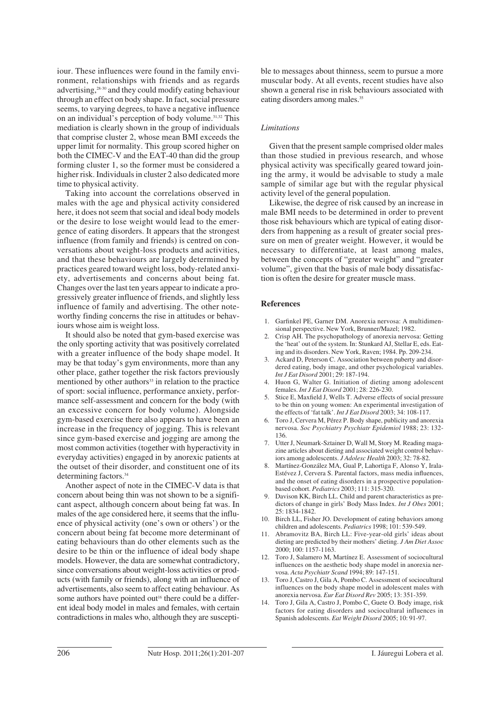iour. These influences were found in the family environment, relationships with friends and as regards advertising,28-30 and they could modify eating behaviour through an effect on body shape. In fact, social pressure seems, to varying degrees, to have a negative influence on an individual's perception of body volume.31,32 This mediation is clearly shown in the group of individuals that comprise cluster 2, whose mean BMI exceeds the upper limit for normality. This group scored higher on both the CIMEC-V and the EAT-40 than did the group forming cluster 1, so the former must be considered a higher risk. Individuals in cluster 2 also dedicated more time to physical activity.

Taking into account the correlations observed in males with the age and physical activity considered here, it does not seem that social and ideal body models or the desire to lose weight would lead to the emergence of eating disorders. It appears that the strongest influence (from family and friends) is centred on conversations about weight-loss products and activities, and that these behaviours are largely determined by practices geared toward weight loss, body-related anxiety, advertisements and concerns about being fat. Changes over the last ten years appear to indicate a progressively greater influence of friends, and slightly less influence of family and advertising. The other noteworthy finding concerns the rise in attitudes or behaviours whose aim is weight loss.

It should also be noted that gym-based exercise was the only sporting activity that was positively correlated with a greater influence of the body shape model. It may be that today's gym environments, more than any other place, gather together the risk factors previously mentioned by other authors<sup>33</sup> in relation to the practice of sport: social influence, performance anxiety, performance self-assessment and concern for the body (with an excessive concern for body volume). Alongside gym-based exercise there also appears to have been an increase in the frequency of jogging. This is relevant since gym-based exercise and jogging are among the most common activities (together with hyperactivity in everyday activities) engaged in by anorexic patients at the outset of their disorder, and constituent one of its determining factors.34

Another aspect of note in the CIMEC-V data is that concern about being thin was not shown to be a significant aspect, although concern about being fat was. In males of the age considered here, it seems that the influence of physical activity (one's own or others') or the concern about being fat become more determinant of eating behaviours than do other elements such as the desire to be thin or the influence of ideal body shape models. However, the data are somewhat contradictory, since conversations about weight-loss activities or products (with family or friends), along with an influence of advertisements, also seem to affect eating behaviour. As some authors have pointed out<sup>16</sup> there could be a different ideal body model in males and females, with certain contradictions in males who, although they are susceptible to messages about thinness, seem to pursue a more muscular body. At all events, recent studies have also shown a general rise in risk behaviours associated with eating disorders among males.<sup>35</sup>

## *Limitations*

Given that the present sample comprised older males than those studied in previous research, and whose physical activity was specifically geared toward joining the army, it would be advisable to study a male sample of similar age but with the regular physical activity level of the general population.

Likewise, the degree of risk caused by an increase in male BMI needs to be determined in order to prevent those risk behaviours which are typical of eating disorders from happening as a result of greater social pressure on men of greater weight. However, it would be necessary to differentiate, at least among males, between the concepts of "greater weight" and "greater volume", given that the basis of male body dissatisfaction is often the desire for greater muscle mass.

#### **References**

- 1. Garfinkel PE, Garner DM. Anorexia nervosa: A multidimensional perspective. New York, Brunner/Mazel; 1982.
- 2. Crisp AH. The psychopathology of anorexia nervosa: Getting the 'heat' out of the system. In: Stunkard AJ, Stellar E, eds. Eating and its disorders. New York, Raven; 1984. Pp. 209-234.
- 3. Ackard D, Peterson C. Association between puberty and disordered eating, body image, and other psychological variables. *Int J Eat Disord* 2001; 29: 187-194.
- 4. Huon G, Walter G. Initiation of dieting among adolescent females. *Int J Eat Disord* 2001; 28: 226-230.
- 5. Stice E, Maxfield J, Wells T. Adverse effects of social pressure to be thin on young women: An experimental investigation of the effects of 'fat talk'. *Int J Eat Disord* 2003; 34: 108-117.
- 6. Toro J, Cervera M, Pérez P. Body shape, publicity and anorexia nervosa. *Soc Psychiatry Psychiatr Epidemiol* 1988; 23: 132- 136.
- 7. Utter J, Neumark-Sztainer D, Wall M, Story M. Reading magazine articles about dieting and associated weight control behaviors among adolescents. *J Adolesc Health* 2003; 32: 78-82.
- 8. Martínez-González MA, Gual P, Lahortiga F, Alonso Y, Irala-Estévez J, Cervera S. Parental factors, mass media influences, and the onset of eating disorders in a prospective populationbased cohort. *Pediatrics* 2003; 111: 315-320.
- 9. Davison KK, Birch LL. Child and parent characteristics as predictors of change in girls' Body Mass Index. *Int J Obes* 2001; 25: 1834-1842.
- 10. Birch LL, Fisher JO. Development of eating behaviors among children and adolescents. *Pediatrics* 1998; 101: 539-549.
- 11. Abramovitz BA, Birch LL: Five-year-old girls' ideas about dieting are predicted by their mothers' dieting. *J Am Diet Assoc* 2000; 100: 1157-1163.
- 12. Toro J, Salamero M, Martínez E. Assessment of sociocultural influences on the aesthetic body shape model in anorexia nervosa. *Acta Psychiatr Scand* 1994; 89: 147-151.
- 13. Toro J, Castro J, Gila A, Pombo C. Assessment of sociocultural influences on the body shape model in adolescent males with anorexia nervosa. *Eur Eat Disord Rev* 2005; 13: 351-359.
- 14. Toro J, Gila A, Castro J, Pombo C, Guete O. Body image, risk factors for eating disorders and sociocultural influences in Spanish adolescents. *Eat Weight Disord* 2005; 10: 91-97.